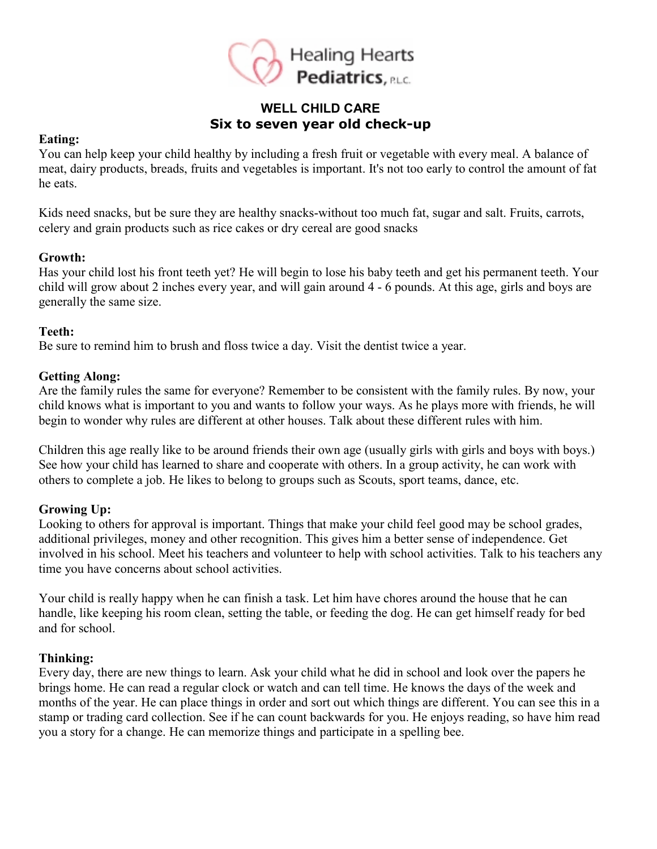

### **WELL CHILD CARE Six to seven year old check-up**

#### **Eating:**

You can help keep your child healthy by including a fresh fruit or vegetable with every meal. A balance of meat, dairy products, breads, fruits and vegetables is important. It's not too early to control the amount of fat he eats.

Kids need snacks, but be sure they are healthy snacks-without too much fat, sugar and salt. Fruits, carrots, celery and grain products such as rice cakes or dry cereal are good snacks

### **Growth:**

Has your child lost his front teeth yet? He will begin to lose his baby teeth and get his permanent teeth. Your child will grow about 2 inches every year, and will gain around 4 - 6 pounds. At this age, girls and boys are generally the same size.

#### **Teeth:**

Be sure to remind him to brush and floss twice a day. Visit the dentist twice a year.

### **Getting Along:**

Are the family rules the same for everyone? Remember to be consistent with the family rules. By now, your child knows what is important to you and wants to follow your ways. As he plays more with friends, he will begin to wonder why rules are different at other houses. Talk about these different rules with him.

Children this age really like to be around friends their own age (usually girls with girls and boys with boys.) See how your child has learned to share and cooperate with others. In a group activity, he can work with others to complete a job. He likes to belong to groups such as Scouts, sport teams, dance, etc.

### **Growing Up:**

Looking to others for approval is important. Things that make your child feel good may be school grades, additional privileges, money and other recognition. This gives him a better sense of independence. Get involved in his school. Meet his teachers and volunteer to help with school activities. Talk to his teachers any time you have concerns about school activities.

Your child is really happy when he can finish a task. Let him have chores around the house that he can handle, like keeping his room clean, setting the table, or feeding the dog. He can get himself ready for bed and for school.

### **Thinking:**

Every day, there are new things to learn. Ask your child what he did in school and look over the papers he brings home. He can read a regular clock or watch and can tell time. He knows the days of the week and months of the year. He can place things in order and sort out which things are different. You can see this in a stamp or trading card collection. See if he can count backwards for you. He enjoys reading, so have him read you a story for a change. He can memorize things and participate in a spelling bee.